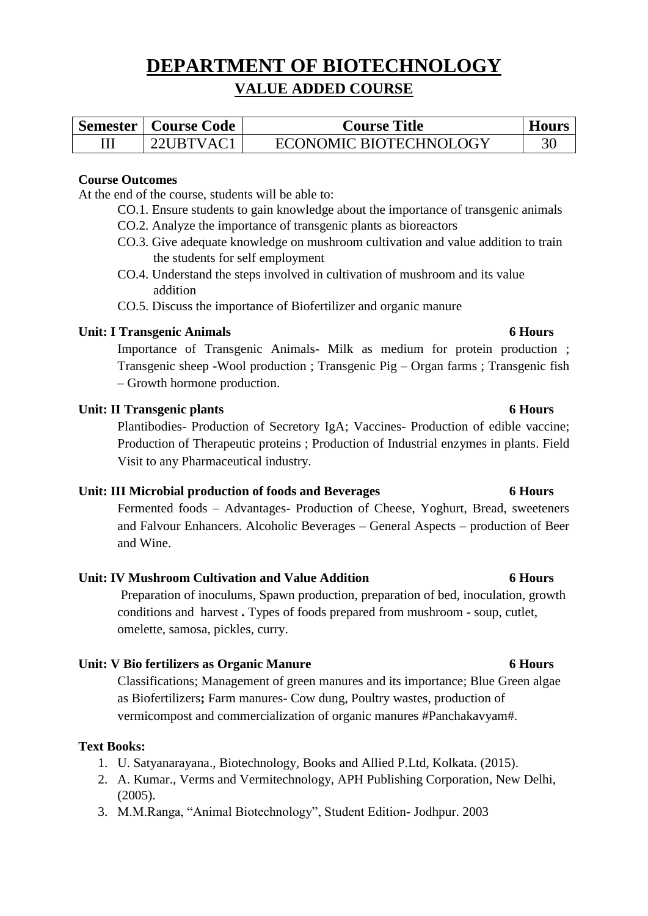# **DEPARTMENT OF BIOTECHNOLOGY VALUE ADDED COURSE**

| <b>Semester   Course Code</b> | <b>Course Title</b>    | <b>Hours</b> |
|-------------------------------|------------------------|--------------|
| $22$ URTVAC1                  | ECONOMIC BIOTECHNOLOGY |              |

# **Course Outcomes**

At the end of the course, students will be able to:

- CO.1. Ensure students to gain knowledge about the importance of transgenic animals
- CO.2. Analyze the importance of transgenic plants as bioreactors
- CO.3. Give adequate knowledge on mushroom cultivation and value addition to train the students for self employment
- CO.4. Understand the steps involved in cultivation of mushroom and its value addition

CO.5. Discuss the importance of Biofertilizer and organic manure

# **Unit: I Transgenic Animals 6 Hours**

Importance of Transgenic Animals- Milk as medium for protein production ; Transgenic sheep -Wool production ; Transgenic Pig – Organ farms ; Transgenic fish – Growth hormone production.

# **Unit: II Transgenic plants 6 Hours**

Plantibodies- Production of Secretory IgA; Vaccines- Production of edible vaccine; Production of Therapeutic proteins ; Production of Industrial enzymes in plants. Field Visit to any Pharmaceutical industry.

# **Unit: III Microbial production of foods and Beverages 6 Hours**

Fermented foods – Advantages- Production of Cheese, Yoghurt, Bread, sweeteners and Falvour Enhancers. Alcoholic Beverages – General Aspects – production of Beer and Wine.

# **Unit: IV Mushroom Cultivation and Value Addition 6 Hours**

Preparation of inoculums, Spawn production, preparation of bed, inoculation, growth conditions and harvest **.** Types of foods prepared from mushroom - soup, cutlet, omelette, samosa, pickles, curry.

# **Unit: V Bio fertilizers as Organic Manure 6 Hours**

Classifications; Management of green manures and its importance; Blue Green algae as Biofertilizers**;** Farm manures- Cow dung, Poultry wastes, production of vermicompost and commercialization of organic manures #Panchakavyam#.

# **Text Books:**

- 1. U. Satyanarayana., Biotechnology, Books and Allied P.Ltd, Kolkata. (2015).
- 2. A. Kumar., Verms and Vermitechnology, APH Publishing Corporation, New Delhi, (2005).
- 3. M.M.Ranga, "Animal Biotechnology", Student Edition- Jodhpur. 2003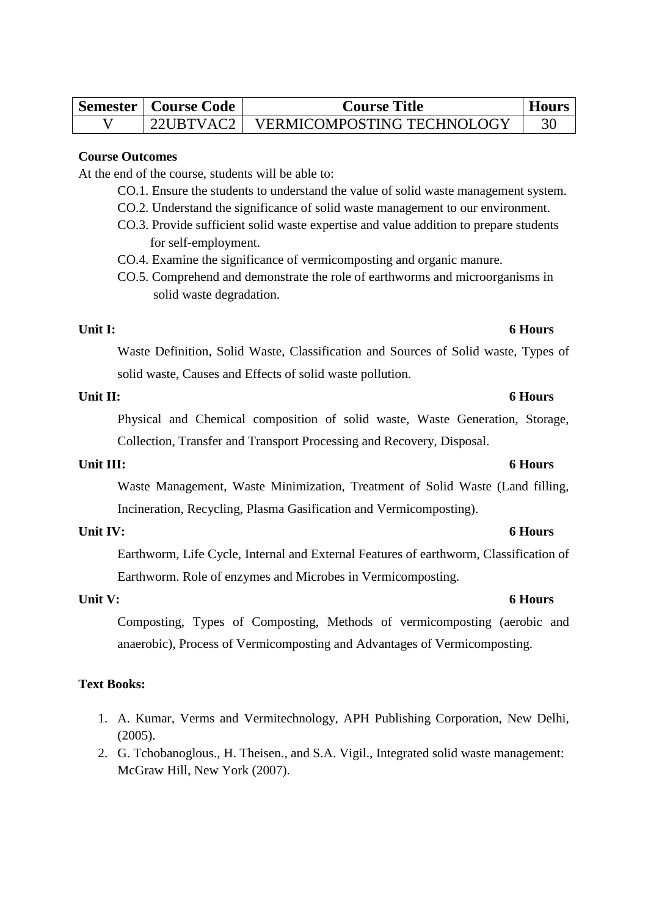| <b>Semester   Course Code</b> | <b>Course Title</b>        | <b>Hour</b> |
|-------------------------------|----------------------------|-------------|
| 22UBTVAC2                     | VERMICOMPOSTING TECHNOLOGY |             |

### **Course Outcomes**

At the end of the course, students will be able to:

- CO.1. Ensure the students to understand the value of solid waste management system.
- CO.2. Understand the significance of solid waste management to our environment.
- CO.3. Provide sufficient solid waste expertise and value addition to prepare students for self-employment.
- CO.4. Examine the significance of vermicomposting and organic manure.
- CO.5. Comprehend and demonstrate the role of earthworms and microorganisms in solid waste degradation.

### **Unit I: 6 Hours**

Waste Definition, Solid Waste, Classification and Sources of Solid waste, Types of solid waste, Causes and Effects of solid waste pollution.

## **Unit II: 6 Hours**

Physical and Chemical composition of solid waste, Waste Generation, Storage, Collection, Transfer and Transport Processing and Recovery, Disposal.

### **Unit III: 6 Hours**

Waste Management, Waste Minimization, Treatment of Solid Waste (Land filling, Incineration, Recycling, Plasma Gasification and Vermicomposting).

### **Unit IV: 6 Hours**

Earthworm, Life Cycle, Internal and External Features of earthworm, Classification of Earthworm. Role of enzymes and Microbes in Vermicomposting.

Composting, Types of Composting, Methods of vermicomposting (aerobic and anaerobic), Process of Vermicomposting and Advantages of Vermicomposting.

# **Text Books:**

- 1. A. Kumar, Verms and Vermitechnology, APH Publishing Corporation, New Delhi, (2005).
- 2. G. Tchobanoglous., H. Theisen., and S.A. Vigil., Integrated solid waste management: McGraw Hill, New York (2007).

### **Unit V: 6 Hours**